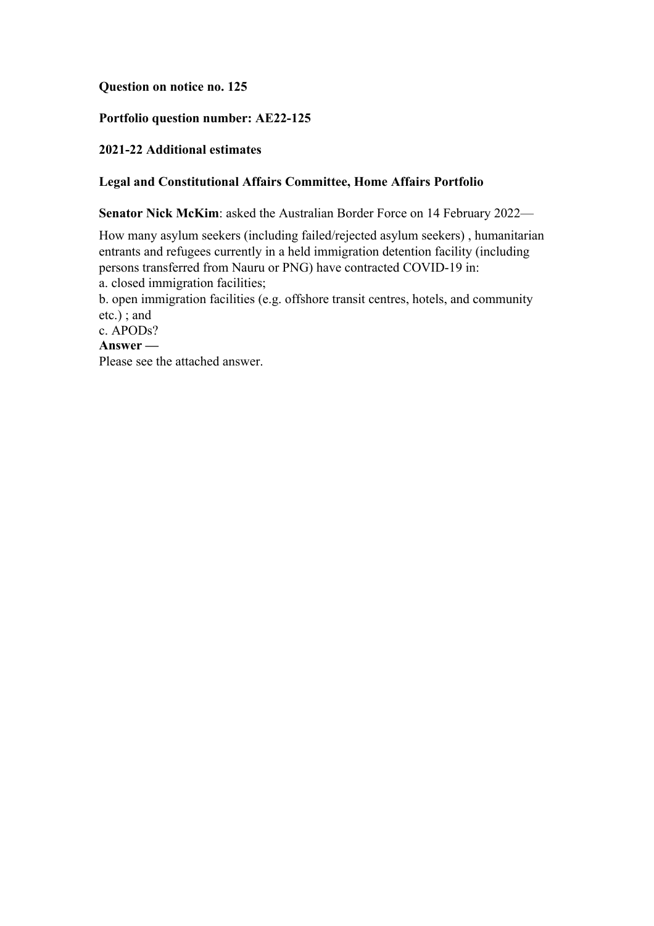#### **Question on notice no. 125**

## **Portfolio question number: AE22-125**

# **2021-22 Additional estimates**

# **Legal and Constitutional Affairs Committee, Home Affairs Portfolio**

**Senator Nick McKim**: asked the Australian Border Force on 14 February 2022—

How many asylum seekers (including failed/rejected asylum seekers) , humanitarian entrants and refugees currently in a held immigration detention facility (including persons transferred from Nauru or PNG) have contracted COVID-19 in: a. closed immigration facilities;

b. open immigration facilities (e.g. offshore transit centres, hotels, and community etc.) ; and

c. APODs?

## **Answer —**

Please see the attached answer.